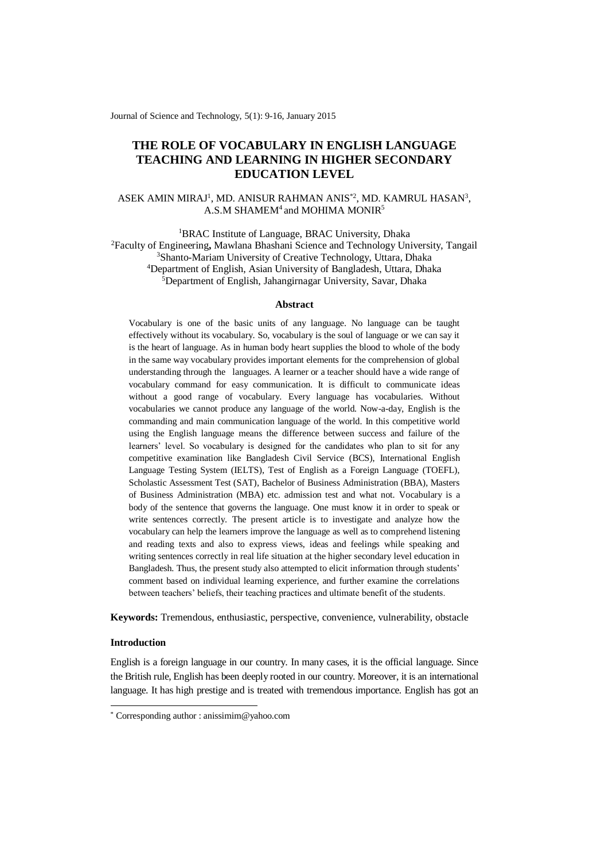Journal of Science and Technology, 5(1): 9-16, January 2015

# **THE ROLE OF VOCABULARY IN ENGLISH LANGUAGE TEACHING AND LEARNING IN HIGHER SECONDARY EDUCATION LEVEL**

# ASEK AMIN MIRAJ<sup>1</sup>, MD. ANISUR RAHMAN ANIS<sup>\*2</sup>, MD. KAMRUL HASAN<sup>3</sup>,  $A.S.M SHAMEM<sup>4</sup>$  and MOHIMA MONIR<sup>5</sup>

<sup>1</sup>BRAC Institute of Language, BRAC University, Dhaka Faculty of Engineering**,** Mawlana Bhashani Science and Technology University, Tangail Shanto-Mariam University of Creative Technology, Uttara, Dhaka Department of English, Asian University of Bangladesh, Uttara, Dhaka Department of English, Jahangirnagar University, Savar, Dhaka

## **Abstract**

Vocabulary is one of the basic units of any language. No language can be taught effectively without its vocabulary. So, vocabulary is the soul of language or we can say it is the heart of language. As in human body heart supplies the blood to whole of the body in the same way vocabulary provides important elements for the comprehension of global understanding through the languages. A learner or a teacher should have a wide range of vocabulary command for easy communication. It is difficult to communicate ideas without a good range of vocabulary. Every language has vocabularies. Without vocabularies we cannot produce any language of the world. Now-a-day, English is the commanding and main communication language of the world. In this competitive world using the English language means the difference between success and failure of the learners' level. So vocabulary is designed for the candidates who plan to sit for any competitive examination like Bangladesh Civil Service (BCS), International English Language Testing System (IELTS), Test of English as a Foreign Language (TOEFL), Scholastic Assessment Test (SAT), Bachelor of Business Administration (BBA), Masters of Business Administration (MBA) etc. admission test and what not. Vocabulary is a body of the sentence that governs the language. One must know it in order to speak or write sentences correctly. The present article is to investigate and analyze how the vocabulary can help the learners improve the language as well as to comprehend listening and reading texts and also to express views, ideas and feelings while speaking and writing sentences correctly in real life situation at the higher secondary level education in Bangladesh. Thus, the present study also attempted to elicit information through students' comment based on individual learning experience, and further examine the correlations between teachers' beliefs, their teaching practices and ultimate benefit of the students.

**Keywords:** Tremendous, enthusiastic, perspective, convenience, vulnerability, obstacle

# **Introduction**

-

English is a foreign language in our country. In many cases, it is the official language. Since the British rule, English has been deeply rooted in our country. Moreover, it is an international language. It has high prestige and is treated with tremendous importance. English has got an

<sup>\*</sup> Corresponding author : anissimim@yahoo.com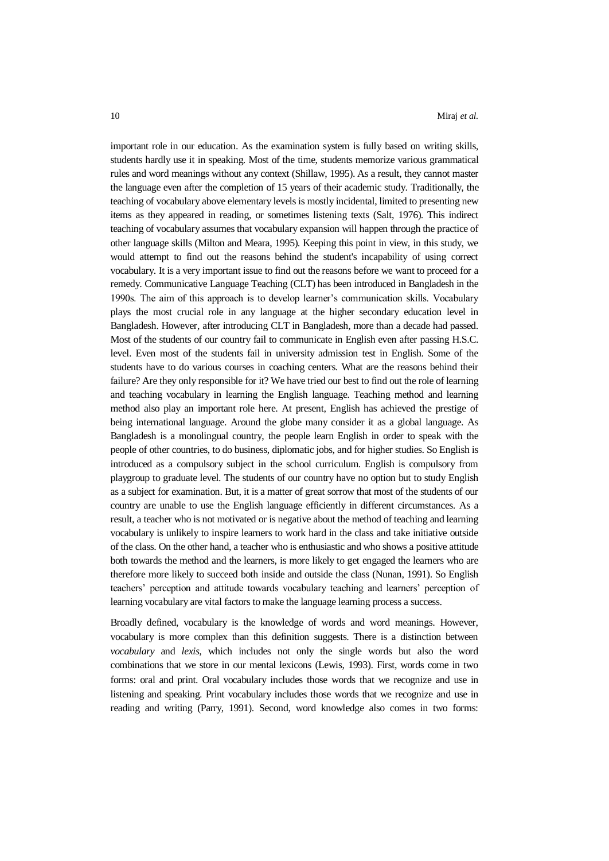important role in our education. As the examination system is fully based on writing skills, students hardly use it in speaking. Most of the time, students memorize various grammatical rules and word meanings without any context (Shillaw, 1995). As a result, they cannot master the language even after the completion of 15 years of their academic study. Traditionally, the teaching of vocabulary above elementary levels is mostly incidental, limited to presenting new items as they appeared in reading, or sometimes listening texts (Salt, 1976). This indirect teaching of vocabulary assumes that vocabulary expansion will happen through the practice of other language skills (Milton and Meara, 1995). Keeping this point in view, in this study, we would attempt to find out the reasons behind the student's incapability of using correct vocabulary. It is a very important issue to find out the reasons before we want to proceed for a remedy. Communicative Language Teaching (CLT) has been introduced in Bangladesh in the 1990s. The aim of this approach is to develop learner's communication skills. Vocabulary plays the most crucial role in any language at the higher secondary education level in Bangladesh. However, after introducing CLT in Bangladesh, more than a decade had passed. Most of the students of our country fail to communicate in English even after passing H.S.C. level. Even most of the students fail in university admission test in English. Some of the students have to do various courses in coaching centers. What are the reasons behind their failure? Are they only responsible for it? We have tried our best to find out the role of learning and teaching vocabulary in learning the English language. Teaching method and learning method also play an important role here. At present, English has achieved the prestige of being international language. Around the globe many consider it as a global language. As Bangladesh is a monolingual country, the people learn English in order to speak with the people of other countries, to do business, diplomatic jobs, and for higher studies. So English is introduced as a compulsory subject in the school curriculum. English is compulsory from playgroup to graduate level. The students of our country have no option but to study English as a subject for examination. But, it is a matter of great sorrow that most of the students of our country are unable to use the English language efficiently in different circumstances. As a result, a teacher who is not motivated or is negative about the method of teaching and learning vocabulary is unlikely to inspire learners to work hard in the class and take initiative outside of the class. On the other hand, a teacher who is enthusiastic and who shows a positive attitude both towards the method and the learners, is more likely to get engaged the learners who are therefore more likely to succeed both inside and outside the class (Nunan, 1991). So English teachers' perception and attitude towards vocabulary teaching and learners' perception of learning vocabulary are vital factors to make the language learning process a success.

Broadly defined, vocabulary is the knowledge of words and word meanings. However, vocabulary is more complex than this definition suggests. There is a distinction between *vocabulary* and *lexis*, which includes not only the single words but also the word combinations that we store in our mental lexicons (Lewis, 1993). First, words come in two forms: oral and print. Oral vocabulary includes those words that we recognize and use in listening and speaking. Print vocabulary includes those words that we recognize and use in reading and writing (Parry, 1991). Second, word knowledge also comes in two forms: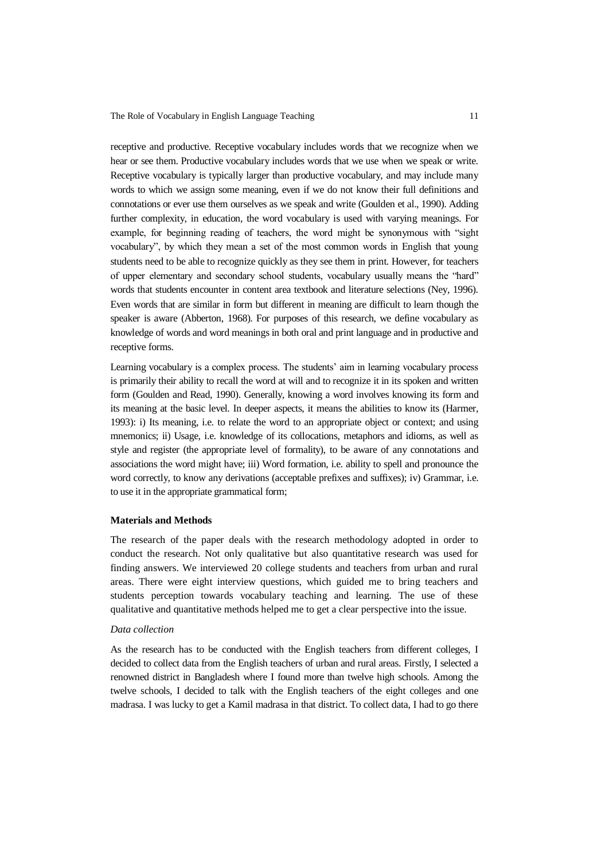The Role of Vocabulary in English Language Teaching 11

receptive and productive. Receptive vocabulary includes words that we recognize when we hear or see them. Productive vocabulary includes words that we use when we speak or write. Receptive vocabulary is typically larger than productive vocabulary, and may include many words to which we assign some meaning, even if we do not know their full definitions and connotations or ever use them ourselves as we speak and write (Goulden et al., 1990). Adding further complexity, in education, the word vocabulary is used with varying meanings. For example, for beginning reading of teachers, the word might be synonymous with "sight vocabulary", by which they mean a set of the most common words in English that young students need to be able to recognize quickly as they see them in print. However, for teachers of upper elementary and secondary school students, vocabulary usually means the "hard" words that students encounter in content area textbook and literature selections (Ney, 1996). Even words that are similar in form but different in meaning are difficult to learn though the speaker is aware (Abberton, 1968). For purposes of this research, we define vocabulary as knowledge of words and word meanings in both oral and print language and in productive and receptive forms.

Learning vocabulary is a complex process. The students' aim in learning vocabulary process is primarily their ability to recall the word at will and to recognize it in its spoken and written form (Goulden and Read, 1990). Generally, knowing a word involves knowing its form and its meaning at the basic level. In deeper aspects, it means the abilities to know its (Harmer, 1993): i) Its meaning, i.e. to relate the word to an appropriate object or context; and using mnemonics; ii) Usage, i.e. knowledge of its collocations, metaphors and idioms, as well as style and register (the appropriate level of formality), to be aware of any connotations and associations the word might have; iii) Word formation, i.e. ability to spell and pronounce the word correctly, to know any derivations (acceptable prefixes and suffixes); iv) Grammar, i.e. to use it in the appropriate grammatical form;

## **Materials and Methods**

The research of the paper deals with the research methodology adopted in order to conduct the research. Not only qualitative but also quantitative research was used for finding answers. We interviewed 20 college students and teachers from urban and rural areas. There were eight interview questions, which guided me to bring teachers and students perception towards vocabulary teaching and learning. The use of these qualitative and quantitative methods helped me to get a clear perspective into the issue.

## *Data collection*

As the research has to be conducted with the English teachers from different colleges, I decided to collect data from the English teachers of urban and rural areas. Firstly, I selected a renowned district in Bangladesh where I found more than twelve high schools. Among the twelve schools, I decided to talk with the English teachers of the eight colleges and one madrasa. I was lucky to get a Kamil madrasa in that district. To collect data, I had to go there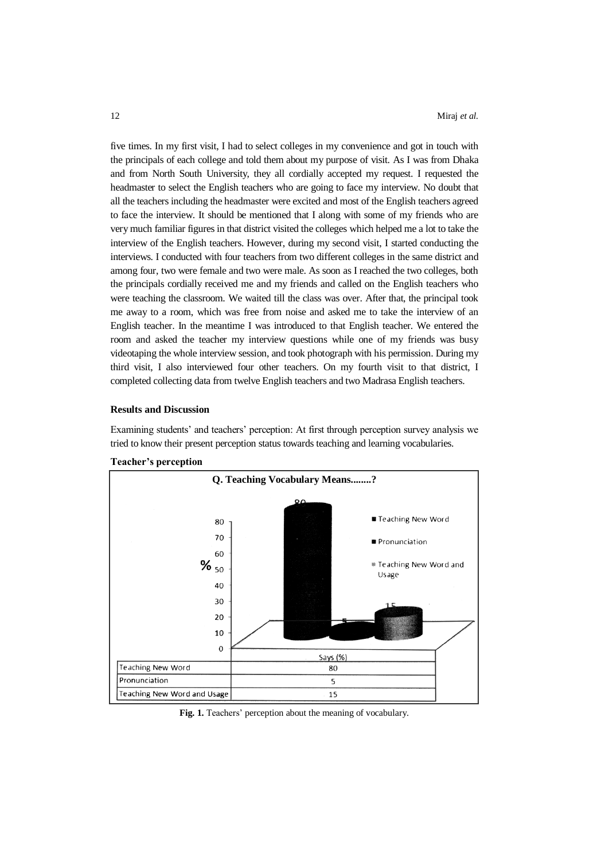five times. In my first visit, I had to select colleges in my convenience and got in touch with the principals of each college and told them about my purpose of visit. As I was from Dhaka and from North South University, they all cordially accepted my request. I requested the headmaster to select the English teachers who are going to face my interview. No doubt that all the teachers including the headmaster were excited and most of the English teachers agreed to face the interview. It should be mentioned that I along with some of my friends who are very much familiar figures in that district visited the colleges which helped me a lot to take the interview of the English teachers. However, during my second visit, I started conducting the interviews. I conducted with four teachers from two different colleges in the same district and among four, two were female and two were male. As soon as I reached the two colleges, both the principals cordially received me and my friends and called on the English teachers who were teaching the classroom. We waited till the class was over. After that, the principal took me away to a room, which was free from noise and asked me to take the interview of an English teacher. In the meantime I was introduced to that English teacher. We entered the room and asked the teacher my interview questions while one of my friends was busy videotaping the whole interview session, and took photograph with his permission. During my third visit, I also interviewed four other teachers. On my fourth visit to that district, I completed collecting data from twelve English teachers and two Madrasa English teachers.

#### **Results and Discussion**

Examining students' and teachers' perception: At first through perception survey analysis we tried to know their present perception status towards teaching and learning vocabularies.



## **Teacher's perception**

**Fig. 1.** Teachers' perception about the meaning of vocabulary.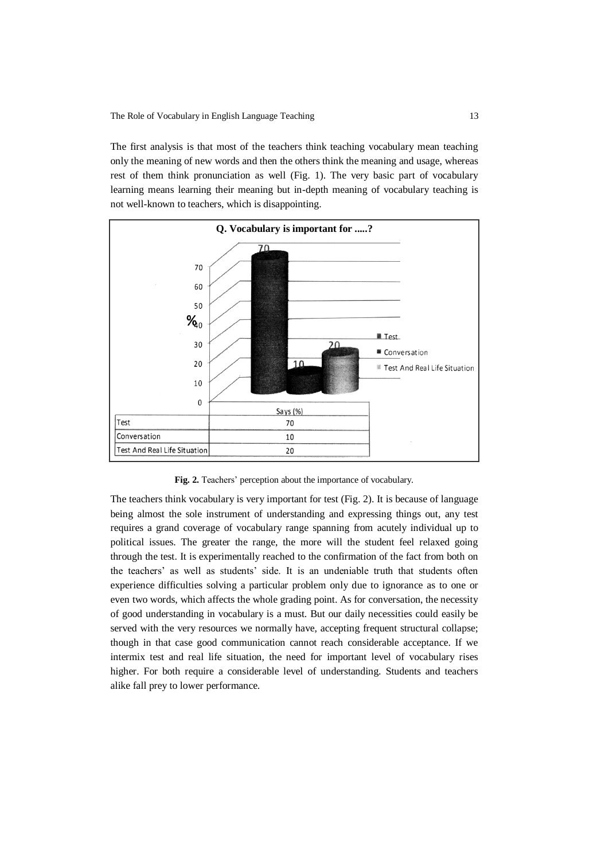The first analysis is that most of the teachers think teaching vocabulary mean teaching only the meaning of new words and then the others think the meaning and usage, whereas rest of them think pronunciation as well (Fig. 1). The very basic part of vocabulary learning means learning their meaning but in-depth meaning of vocabulary teaching is not well-known to teachers, which is disappointing.



**Fig. 2.** Teachers' perception about the importance of vocabulary.

The teachers think vocabulary is very important for test (Fig. 2). It is because of language being almost the sole instrument of understanding and expressing things out, any test requires a grand coverage of vocabulary range spanning from acutely individual up to political issues. The greater the range, the more will the student feel relaxed going through the test. It is experimentally reached to the confirmation of the fact from both on the teachers' as well as students' side. It is an undeniable truth that students often experience difficulties solving a particular problem only due to ignorance as to one or even two words, which affects the whole grading point. As for conversation, the necessity of good understanding in vocabulary is a must. But our daily necessities could easily be served with the very resources we normally have, accepting frequent structural collapse; though in that case good communication cannot reach considerable acceptance. If we intermix test and real life situation, the need for important level of vocabulary rises higher. For both require a considerable level of understanding. Students and teachers alike fall prey to lower performance.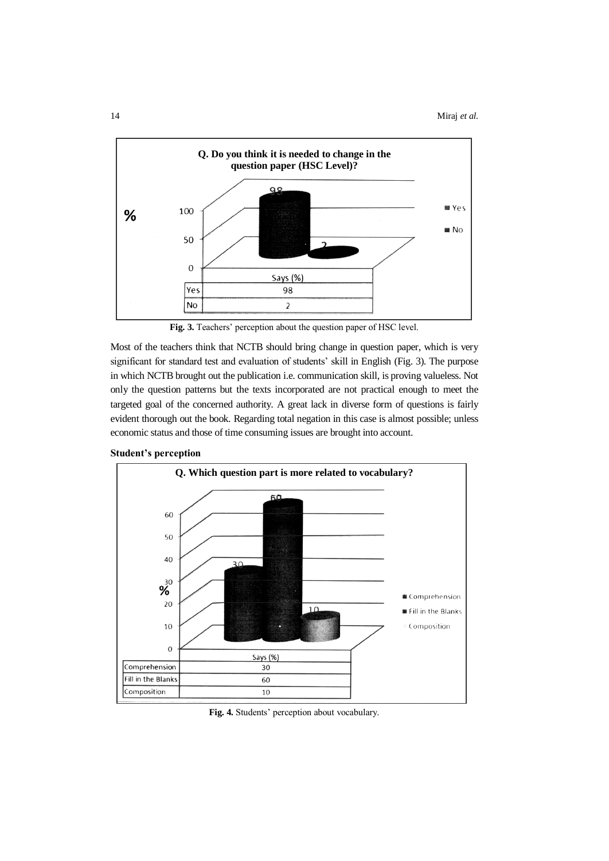

**Fig. 3.** Teachers' perception about the question paper of HSC level.

Most of the teachers think that NCTB should bring change in question paper, which is very significant for standard test and evaluation of students' skill in English (Fig. 3). The purpose in which NCTB brought out the publication i.e. communication skill, is proving valueless. Not only the question patterns but the texts incorporated are not practical enough to meet the targeted goal of the concerned authority. A great lack in diverse form of questions is fairly evident thorough out the book. Regarding total negation in this case is almost possible; unless economic status and those of time consuming issues are brought into account.





**Fig. 4.** Students' perception about vocabulary.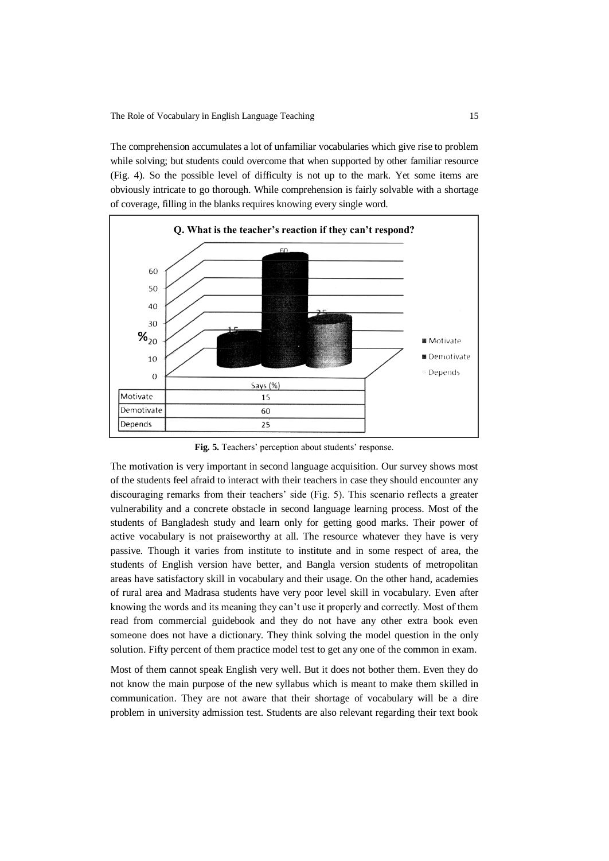The Role of Vocabulary in English Language Teaching 15

The comprehension accumulates a lot of unfamiliar vocabularies which give rise to problem while solving; but students could overcome that when supported by other familiar resource (Fig. 4). So the possible level of difficulty is not up to the mark. Yet some items are obviously intricate to go thorough. While comprehension is fairly solvable with a shortage of coverage, filling in the blanks requires knowing every single word.



**Fig. 5.** Teachers' perception about students' response.

The motivation is very important in second language acquisition. Our survey shows most of the students feel afraid to interact with their teachers in case they should encounter any discouraging remarks from their teachers' side (Fig. 5). This scenario reflects a greater vulnerability and a concrete obstacle in second language learning process. Most of the students of Bangladesh study and learn only for getting good marks. Their power of active vocabulary is not praiseworthy at all. The resource whatever they have is very passive. Though it varies from institute to institute and in some respect of area, the students of English version have better, and Bangla version students of metropolitan areas have satisfactory skill in vocabulary and their usage. On the other hand, academies of rural area and Madrasa students have very poor level skill in vocabulary. Even after knowing the words and its meaning they can't use it properly and correctly. Most of them read from commercial guidebook and they do not have any other extra book even someone does not have a dictionary. They think solving the model question in the only solution. Fifty percent of them practice model test to get any one of the common in exam.

Most of them cannot speak English very well. But it does not bother them. Even they do not know the main purpose of the new syllabus which is meant to make them skilled in communication. They are not aware that their shortage of vocabulary will be a dire problem in university admission test. Students are also relevant regarding their text book